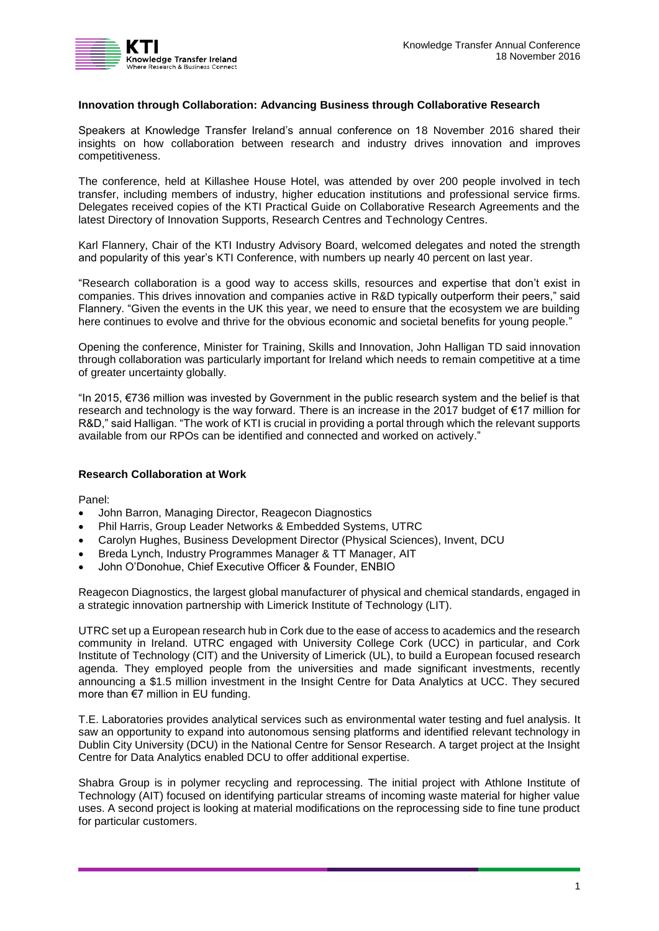# **Innovation through Collaboration: Advancing Business through Collaborative Research**

Speakers at Knowledge Transfer Ireland's annual conference on 18 November 2016 shared their insights on how collaboration between research and industry drives innovation and improves competitiveness.

The conference, held at Killashee House Hotel, was attended by over 200 people involved in tech transfer, including members of industry, higher education institutions and professional service firms. Delegates received copies of the KTI Practical Guide on Collaborative Research Agreements and the latest Directory of Innovation Supports, Research Centres and Technology Centres.

Karl Flannery, Chair of the KTI Industry Advisory Board, welcomed delegates and noted the strength and popularity of this year's KTI Conference, with numbers up nearly 40 percent on last year.

"Research collaboration is a good way to access skills, resources and expertise that don't exist in companies. This drives innovation and companies active in R&D typically outperform their peers," said Flannery. "Given the events in the UK this year, we need to ensure that the ecosystem we are building here continues to evolve and thrive for the obvious economic and societal benefits for young people."

Opening the conference, Minister for Training, Skills and Innovation, John Halligan TD said innovation through collaboration was particularly important for Ireland which needs to remain competitive at a time of greater uncertainty globally.

"In 2015, €736 million was invested by Government in the public research system and the belief is that research and technology is the way forward. There is an increase in the 2017 budget of €17 million for R&D," said Halligan. "The work of KTI is crucial in providing a portal through which the relevant supports available from our RPOs can be identified and connected and worked on actively."

### **Research Collaboration at Work**

Panel:

- John Barron, Managing Director, Reagecon Diagnostics
- Phil Harris, Group Leader Networks & Embedded Systems, UTRC
- Carolyn Hughes, Business Development Director (Physical Sciences), Invent, DCU
- Breda Lynch, Industry Programmes Manager & TT Manager, AIT
- John O'Donohue, Chief Executive Officer & Founder, ENBIO

Reagecon Diagnostics, the largest global manufacturer of physical and chemical standards, engaged in a strategic innovation partnership with Limerick Institute of Technology (LIT).

UTRC set up a European research hub in Cork due to the ease of access to academics and the research community in Ireland. UTRC engaged with University College Cork (UCC) in particular, and Cork Institute of Technology (CIT) and the University of Limerick (UL), to build a European focused research agenda. They employed people from the universities and made significant investments, recently announcing a \$1.5 million investment in the Insight Centre for Data Analytics at UCC. They secured more than €7 million in EU funding.

T.E. Laboratories provides analytical services such as environmental water testing and fuel analysis. It saw an opportunity to expand into autonomous sensing platforms and identified relevant technology in Dublin City University (DCU) in the National Centre for Sensor Research. A target project at the Insight Centre for Data Analytics enabled DCU to offer additional expertise.

Shabra Group is in polymer recycling and reprocessing. The initial project with Athlone Institute of Technology (AIT) focused on identifying particular streams of incoming waste material for higher value uses. A second project is looking at material modifications on the reprocessing side to fine tune product for particular customers.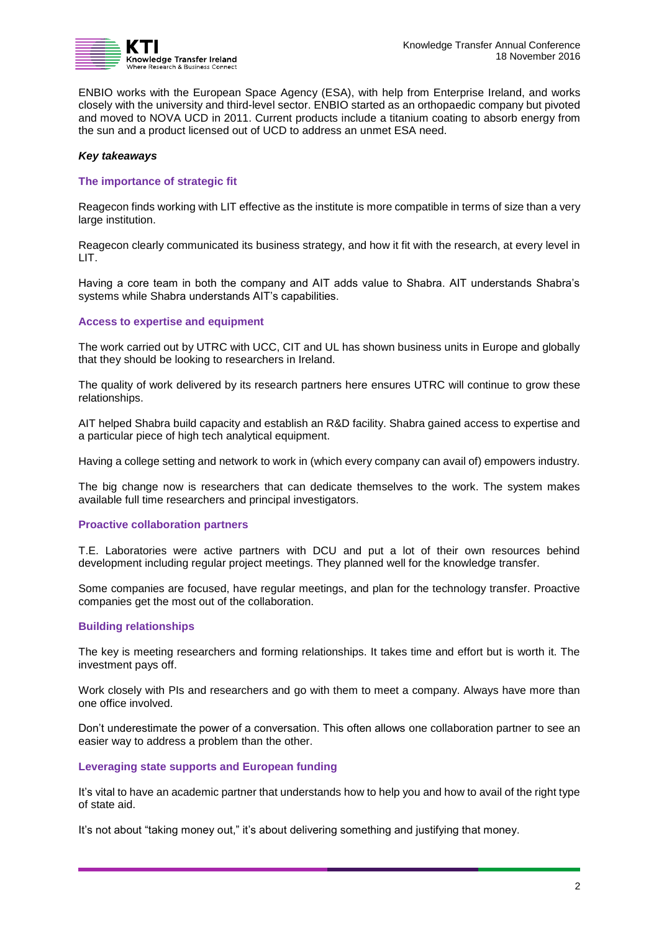

ENBIO works with the European Space Agency (ESA), with help from Enterprise Ireland, and works closely with the university and third-level sector. ENBIO started as an orthopaedic company but pivoted and moved to NOVA UCD in 2011. Current products include a titanium coating to absorb energy from the sun and a product licensed out of UCD to address an unmet ESA need.

## *Key takeaways*

## **The importance of strategic fit**

Reagecon finds working with LIT effective as the institute is more compatible in terms of size than a very large institution.

Reagecon clearly communicated its business strategy, and how it fit with the research, at every level in LIT.

Having a core team in both the company and AIT adds value to Shabra. AIT understands Shabra's systems while Shabra understands AIT's capabilities.

## **Access to expertise and equipment**

The work carried out by UTRC with UCC, CIT and UL has shown business units in Europe and globally that they should be looking to researchers in Ireland.

The quality of work delivered by its research partners here ensures UTRC will continue to grow these relationships.

AIT helped Shabra build capacity and establish an R&D facility. Shabra gained access to expertise and a particular piece of high tech analytical equipment.

Having a college setting and network to work in (which every company can avail of) empowers industry.

The big change now is researchers that can dedicate themselves to the work. The system makes available full time researchers and principal investigators.

### **Proactive collaboration partners**

T.E. Laboratories were active partners with DCU and put a lot of their own resources behind development including regular project meetings. They planned well for the knowledge transfer.

Some companies are focused, have regular meetings, and plan for the technology transfer. Proactive companies get the most out of the collaboration.

### **Building relationships**

The key is meeting researchers and forming relationships. It takes time and effort but is worth it. The investment pays off.

Work closely with PIs and researchers and go with them to meet a company. Always have more than one office involved.

Don't underestimate the power of a conversation. This often allows one collaboration partner to see an easier way to address a problem than the other.

### **Leveraging state supports and European funding**

It's vital to have an academic partner that understands how to help you and how to avail of the right type of state aid.

It's not about "taking money out," it's about delivering something and justifying that money.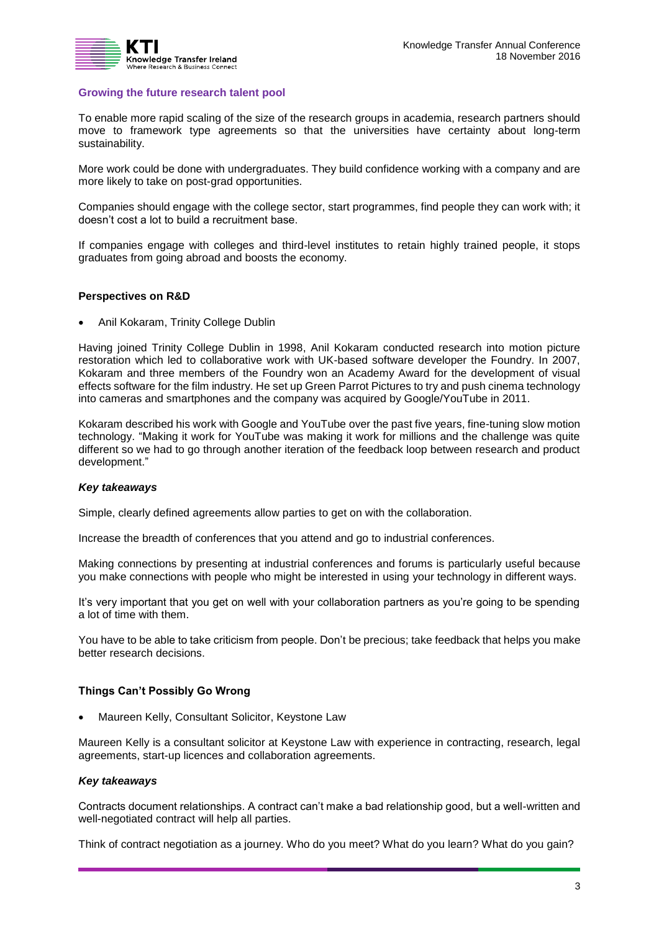

## **Growing the future research talent pool**

To enable more rapid scaling of the size of the research groups in academia, research partners should move to framework type agreements so that the universities have certainty about long-term sustainability.

More work could be done with undergraduates. They build confidence working with a company and are more likely to take on post-grad opportunities.

Companies should engage with the college sector, start programmes, find people they can work with; it doesn't cost a lot to build a recruitment base.

If companies engage with colleges and third-level institutes to retain highly trained people, it stops graduates from going abroad and boosts the economy.

## **Perspectives on R&D**

Anil Kokaram, Trinity College Dublin

Having joined Trinity College Dublin in 1998, Anil Kokaram conducted research into motion picture restoration which led to collaborative work with UK-based software developer the Foundry. In 2007, Kokaram and three members of the Foundry won an Academy Award for the development of visual effects software for the film industry. He set up Green Parrot Pictures to try and push cinema technology into cameras and smartphones and the company was acquired by Google/YouTube in 2011.

Kokaram described his work with Google and YouTube over the past five years, fine-tuning slow motion technology. "Making it work for YouTube was making it work for millions and the challenge was quite different so we had to go through another iteration of the feedback loop between research and product development."

### *Key takeaways*

Simple, clearly defined agreements allow parties to get on with the collaboration.

Increase the breadth of conferences that you attend and go to industrial conferences.

Making connections by presenting at industrial conferences and forums is particularly useful because you make connections with people who might be interested in using your technology in different ways.

It's very important that you get on well with your collaboration partners as you're going to be spending a lot of time with them.

You have to be able to take criticism from people. Don't be precious; take feedback that helps you make better research decisions.

### **Things Can't Possibly Go Wrong**

Maureen Kelly, Consultant Solicitor, Keystone Law

Maureen Kelly is a consultant solicitor at Keystone Law with experience in contracting, research, legal agreements, start-up licences and collaboration agreements.

## *Key takeaways*

Contracts document relationships. A contract can't make a bad relationship good, but a well-written and well-negotiated contract will help all parties.

Think of contract negotiation as a journey. Who do you meet? What do you learn? What do you gain?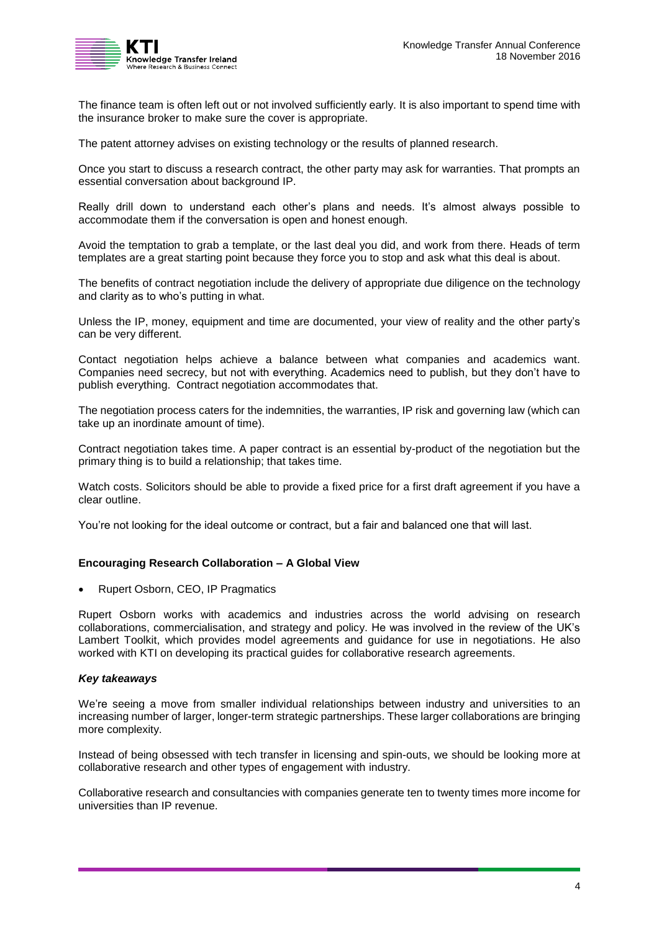

The finance team is often left out or not involved sufficiently early. It is also important to spend time with the insurance broker to make sure the cover is appropriate.

The patent attorney advises on existing technology or the results of planned research.

Once you start to discuss a research contract, the other party may ask for warranties. That prompts an essential conversation about background IP.

Really drill down to understand each other's plans and needs. It's almost always possible to accommodate them if the conversation is open and honest enough.

Avoid the temptation to grab a template, or the last deal you did, and work from there. Heads of term templates are a great starting point because they force you to stop and ask what this deal is about.

The benefits of contract negotiation include the delivery of appropriate due diligence on the technology and clarity as to who's putting in what.

Unless the IP, money, equipment and time are documented, your view of reality and the other party's can be very different.

Contact negotiation helps achieve a balance between what companies and academics want. Companies need secrecy, but not with everything. Academics need to publish, but they don't have to publish everything. Contract negotiation accommodates that.

The negotiation process caters for the indemnities, the warranties, IP risk and governing law (which can take up an inordinate amount of time).

Contract negotiation takes time. A paper contract is an essential by-product of the negotiation but the primary thing is to build a relationship; that takes time.

Watch costs. Solicitors should be able to provide a fixed price for a first draft agreement if you have a clear outline.

You're not looking for the ideal outcome or contract, but a fair and balanced one that will last.

# **Encouraging Research Collaboration – A Global View**

• Rupert Osborn, CEO, IP Pragmatics

Rupert Osborn works with academics and industries across the world advising on research collaborations, commercialisation, and strategy and policy. He was involved in the review of the UK's Lambert Toolkit, which provides model agreements and guidance for use in negotiations. He also worked with KTI on developing its practical guides for collaborative research agreements.

### *Key takeaways*

We're seeing a move from smaller individual relationships between industry and universities to an increasing number of larger, longer-term strategic partnerships. These larger collaborations are bringing more complexity.

Instead of being obsessed with tech transfer in licensing and spin-outs, we should be looking more at collaborative research and other types of engagement with industry.

Collaborative research and consultancies with companies generate ten to twenty times more income for universities than IP revenue.